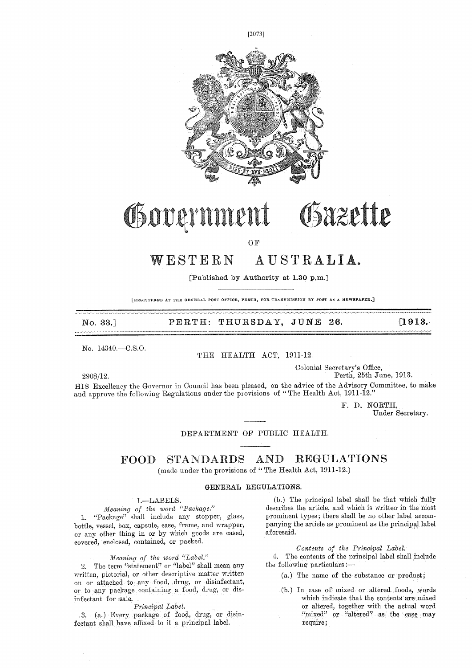

## Osazette Government

OF

### WESTERN AUSTRALIA.

[Published by Authority at 1.30 p.m.]

LREGISTERED AT THE GENERAL POST OFFICE, PERTH, FOR TRANSMISSION BY POST AS A NEWSPAPER.]

No. 33.] PERTH: THURSDAY, JUNE 26. **[1913.** 

No. 14340.--C.S.O.

#### THE HEALTH ACT, 1911-12.

Colonial Secretary's Office, 2908/12. Perth, 25th June, 1913.

HIS Excellency the Governor in Council has been pleased, on the advice of the Advisory Committee, to make and approve the following Regulations under the provisions of " The Health Act, 1911-12."

> F. I). NORTH, Under Secretary.

#### DEPARTMENT OF PUBLIC HEALTH.

#### FOOD STANDARDS AND REGULATIONS (made under the provisions of " The Health Act, 1911-12.)

#### GENERAL REGULATIONS.

#### I.—LABELS.

*Meaning of the word "Package."*  1. "Package" shall include any stopper, glass, bottle, vessel, box, capsule, case, frame, and wrapper, or any other thing in or by which goods are cased, covered, enclosed, contained, or packed.

#### *Meaning of the word "Label."*

2. The term "statement" or "label" shall mean any written, pictorial, or other descriptive matter written on or attached to any food, drug, or disinfectant, or to any package containing a food, drug, or disinfectant for sale.

#### *Principal Label.*

3. (a.) Every package of food, drug, or disinfectant shall have affixed to it a principal label.

(b.) The principal label shall be that which fully describes the article, and which is written in the most prominent types; there shall be no other label accompanying the article as prominent as the principal label aforesaid.

#### *Contents of the Principal Label.*

4. The contents of the principal label shall include the following particulars :-

- (a.) The name of the substance or product;
- (b.) In case of mixed or altered foods, Words which indicate that the contents are mixed or altered, together with the actual word "mixed" or "altered" as the case may require;